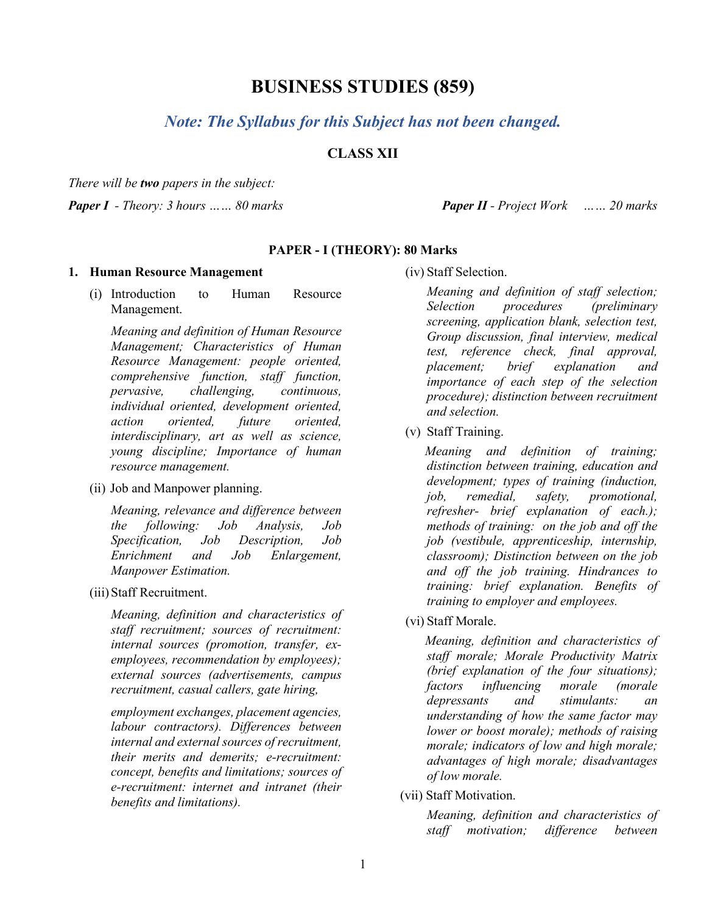# **BUSINESS STUDIES (859)**

# *Note: The Syllabus for this Subject has not been changed.*

# **CLASS XII**

*There will be two papers in the subject:*

*Paper I - Theory: 3 hours …… 80 marks Paper II - Project Work …… 20 marks*

### **PAPER - I (THEORY): 80 Marks**

#### **1. Human Resource Management**

(i) Introduction to Human Resource Management.

*Meaning and definition of Human Resource Management; Characteristics of Human Resource Management: people oriented, comprehensive function, staff function, pervasive, challenging, continuous, individual oriented, development oriented, action oriented, future oriented, interdisciplinary, art as well as science, young discipline; Importance of human resource management.*

(ii) Job and Manpower planning.

*Meaning, relevance and difference between the following: Job Analysis, Job Specification, Job Description, Job Enrichment and Job Enlargement, Manpower Estimation.*

(iii)Staff Recruitment.

*Meaning, definition and characteristics of staff recruitment; sources of recruitment: internal sources (promotion, transfer, exemployees, recommendation by employees); external sources (advertisements, campus recruitment, casual callers, gate hiring,* 

*employment exchanges, placement agencies, labour contractors). Differences between internal and external sources of recruitment, their merits and demerits; e-recruitment: concept, benefits and limitations; sources of e-recruitment: internet and intranet (their benefits and limitations).*

(iv) Staff Selection.

*Meaning and definition of staff selection; Selection procedures (preliminary screening, application blank, selection test, Group discussion, final interview, medical test, reference check, final approval, placement; brief explanation and importance of each step of the selection procedure); distinction between recruitment and selection.*

(v) Staff Training.

 *Meaning and definition of training; distinction between training, education and development; types of training (induction, job, remedial, safety, promotional, refresher- brief explanation of each.); methods of training: on the job and off the job (vestibule, apprenticeship, internship, classroom); Distinction between on the job and off the job training. Hindrances to training: brief explanation. Benefits of training to employer and employees.*

(vi) Staff Morale.

 *Meaning, definition and characteristics of staff morale; Morale Productivity Matrix (brief explanation of the four situations); factors influencing morale (morale depressants and stimulants: an understanding of how the same factor may lower or boost morale); methods of raising morale; indicators of low and high morale; advantages of high morale; disadvantages of low morale.*

(vii) Staff Motivation.

*Meaning, definition and characteristics of staff motivation; difference between*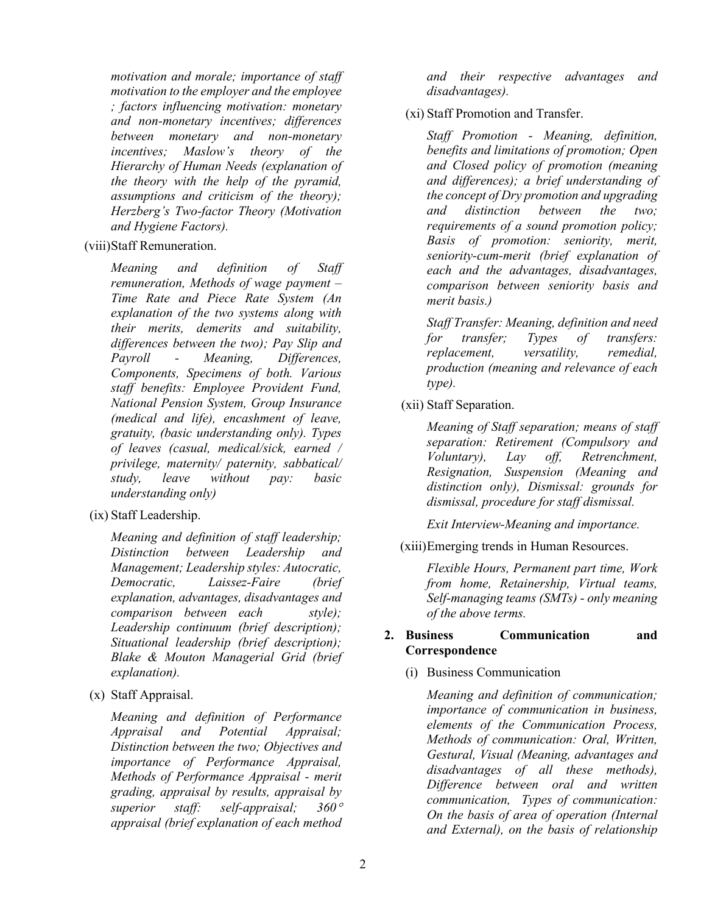*motivation and morale; importance of staff motivation to the employer and the employee ; factors influencing motivation: monetary and non-monetary incentives; differences between monetary and non-monetary incentives; Maslow's theory of the Hierarchy of Human Needs (explanation of the theory with the help of the pyramid, assumptions and criticism of the theory); Herzberg's Two-factor Theory (Motivation and Hygiene Factors).*

(viii)Staff Remuneration.

*Meaning and definition of Staff remuneration, Methods of wage payment – Time Rate and Piece Rate System (An explanation of the two systems along with their merits, demerits and suitability, differences between the two); Pay Slip and Payroll - Meaning, Differences, Components, Specimens of both. Various staff benefits: Employee Provident Fund, National Pension System, Group Insurance (medical and life), encashment of leave, gratuity, (basic understanding only). Types of leaves (casual, medical/sick, earned / privilege, maternity/ paternity, sabbatical/ study, leave without pay: basic understanding only)*

(ix) Staff Leadership.

*Meaning and definition of staff leadership; Distinction between Leadership and Management; Leadership styles: Autocratic, Democratic, Laissez-Faire (brief explanation, advantages, disadvantages and comparison between each style); Leadership continuum (brief description); Situational leadership (brief description); Blake & Mouton Managerial Grid (brief explanation).* 

(x) Staff Appraisal.

*Meaning and definition of Performance Appraisal and Potential Appraisal; Distinction between the two; Objectives and importance of Performance Appraisal, Methods of Performance Appraisal - merit grading, appraisal by results, appraisal by superior staff: self-appraisal; 360*° *appraisal (brief explanation of each method* 

*and their respective advantages and disadvantages).*

(xi) Staff Promotion and Transfer.

*Staff Promotion - Meaning, definition, benefits and limitations of promotion; Open and Closed policy of promotion (meaning and differences); a brief understanding of the concept of Dry promotion and upgrading and distinction between the two; requirements of a sound promotion policy; Basis of promotion: seniority, merit, seniority-cum-merit (brief explanation of each and the advantages, disadvantages, comparison between seniority basis and merit basis.)*

*Staff Transfer: Meaning, definition and need for transfer; Types of transfers: replacement, versatility, remedial, production (meaning and relevance of each type).*

(xii) Staff Separation.

*Meaning of Staff separation; means of staff separation: Retirement (Compulsory and Voluntary), Lay off, Retrenchment, Resignation, Suspension (Meaning and distinction only), Dismissal: grounds for dismissal, procedure for staff dismissal.*

*Exit Interview-Meaning and importance.*

(xiii)Emerging trends in Human Resources.

*Flexible Hours, Permanent part time, Work from home, Retainership, Virtual teams, Self-managing teams (SMTs) - only meaning of the above terms.*

## **2. Business Communication and Correspondence**

(i) Business Communication

*Meaning and definition of communication; importance of communication in business, elements of the Communication Process, Methods of communication: Oral, Written, Gestural, Visual (Meaning, advantages and disadvantages of all these methods), Difference between oral and written communication, Types of communication: On the basis of area of operation (Internal and External), on the basis of relationship*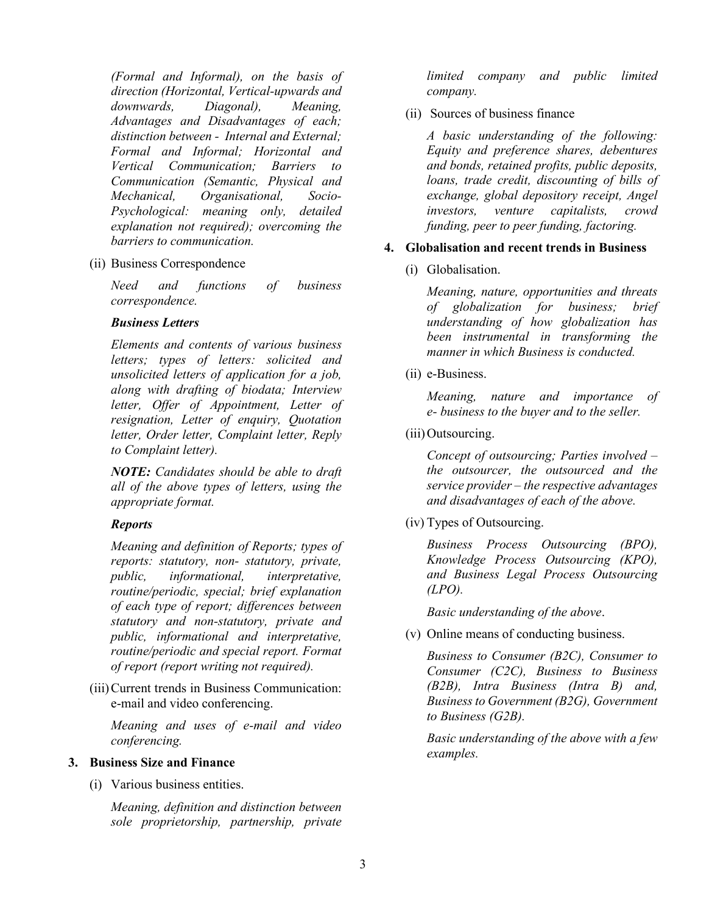*(Formal and Informal), on the basis of direction (Horizontal, Vertical-upwards and downwards, Diagonal), Meaning, Advantages and Disadvantages of each; distinction between - Internal and External; Formal and Informal; Horizontal and Vertical Communication; Barriers to Communication (Semantic, Physical and Mechanical, Organisational, Socio-Psychological: meaning only, detailed explanation not required); overcoming the barriers to communication.*

#### (ii) Business Correspondence

*Need and functions of business correspondence.*

#### *Business Letters*

*Elements and contents of various business letters; types of letters: solicited and unsolicited letters of application for a job, along with drafting of biodata; Interview letter, Offer of Appointment, Letter of resignation, Letter of enquiry, Quotation letter, Order letter, Complaint letter, Reply to Complaint letter).*

*NOTE: Candidates should be able to draft all of the above types of letters, using the appropriate format.*

#### *Reports*

*Meaning and definition of Reports; types of reports: statutory, non- statutory, private, public, informational, interpretative, routine/periodic, special; brief explanation of each type of report; differences between statutory and non-statutory, private and public, informational and interpretative, routine/periodic and special report. Format of report (report writing not required).*

(iii)Current trends in Business Communication: e-mail and video conferencing.

*Meaning and uses of e-mail and video conferencing.*

## **3. Business Size and Finance**

(i) Various business entities.

*Meaning, definition and distinction between sole proprietorship, partnership, private* 

*limited company and public limited company.*

(ii) Sources of business finance

*A basic understanding of the following: Equity and preference shares, debentures and bonds, retained profits, public deposits, loans, trade credit, discounting of bills of exchange, global depository receipt, Angel investors, venture capitalists, crowd funding, peer to peer funding, factoring.*

#### **4. Globalisation and recent trends in Business**

(i) Globalisation.

*Meaning, nature, opportunities and threats of globalization for business; brief understanding of how globalization has been instrumental in transforming the manner in which Business is conducted.*

(ii) e-Business.

*Meaning, nature and importance of e- business to the buyer and to the seller.*

(iii) Outsourcing.

*Concept of outsourcing; Parties involved – the outsourcer, the outsourced and the service provider – the respective advantages and disadvantages of each of the above.*

(iv) Types of Outsourcing.

*Business Process Outsourcing (BPO), Knowledge Process Outsourcing (KPO), and Business Legal Process Outsourcing (LPO).*

*Basic understanding of the above*.

(v) Online means of conducting business.

*Business to Consumer (B2C), Consumer to Consumer (C2C), Business to Business (B2B), Intra Business (Intra B) and, Business to Government (B2G), Government to Business (G2B).*

*Basic understanding of the above with a few examples.*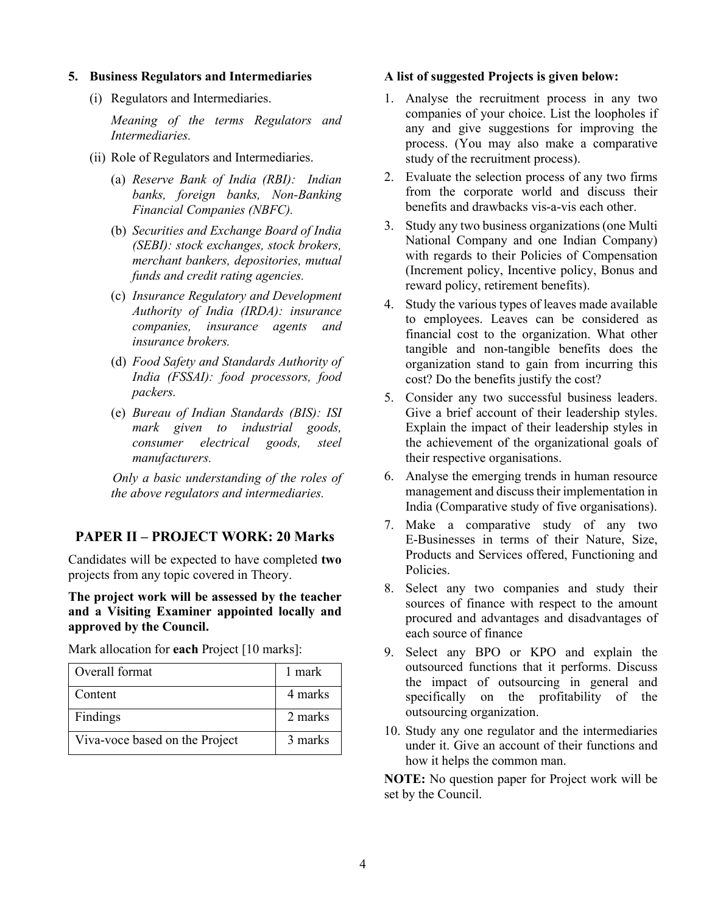### **5. Business Regulators and Intermediaries**

(i) Regulators and Intermediaries.

*Meaning of the terms Regulators and Intermediaries.*

- (ii) Role of Regulators and Intermediaries.
	- (a) *Reserve Bank of India (RBI): Indian banks, foreign banks, Non-Banking Financial Companies (NBFC).*
	- (b) *Securities and Exchange Board of India (SEBI): stock exchanges, stock brokers, merchant bankers, depositories, mutual funds and credit rating agencies.*
	- (c) *Insurance Regulatory and Development Authority of India (IRDA): insurance companies, insurance agents and insurance brokers.*
	- (d) *Food Safety and Standards Authority of India (FSSAI): food processors, food packers.*
	- (e) *Bureau of Indian Standards (BIS): ISI mark given to industrial goods, consumer electrical goods, steel manufacturers.*

 *Only a basic understanding of the roles of the above regulators and intermediaries.*

## **PAPER II – PROJECT WORK: 20 Marks**

Candidates will be expected to have completed **two** projects from any topic covered in Theory.

**The project work will be assessed by the teacher and a Visiting Examiner appointed locally and approved by the Council.** 

Mark allocation for **each** Project [10 marks]:

| Overall format                 | 1 mark  |
|--------------------------------|---------|
| Content                        | 4 marks |
| Findings                       | 2 marks |
| Viva-voce based on the Project | 3 marks |

#### **A list of suggested Projects is given below:**

- 1. Analyse the recruitment process in any two companies of your choice. List the loopholes if any and give suggestions for improving the process. (You may also make a comparative study of the recruitment process).
- 2. Evaluate the selection process of any two firms from the corporate world and discuss their benefits and drawbacks vis-a-vis each other.
- 3. Study any two business organizations (one Multi National Company and one Indian Company) with regards to their Policies of Compensation (Increment policy, Incentive policy, Bonus and reward policy, retirement benefits).
- 4. Study the various types of leaves made available to employees. Leaves can be considered as financial cost to the organization. What other tangible and non-tangible benefits does the organization stand to gain from incurring this cost? Do the benefits justify the cost?
- 5. Consider any two successful business leaders. Give a brief account of their leadership styles. Explain the impact of their leadership styles in the achievement of the organizational goals of their respective organisations.
- 6. Analyse the emerging trends in human resource management and discuss their implementation in India (Comparative study of five organisations).
- 7. Make a comparative study of any two E-Businesses in terms of their Nature, Size, Products and Services offered, Functioning and Policies.
- 8. Select any two companies and study their sources of finance with respect to the amount procured and advantages and disadvantages of each source of finance
- 9. Select any BPO or KPO and explain the outsourced functions that it performs. Discuss the impact of outsourcing in general and specifically on the profitability of the outsourcing organization.
- 10. Study any one regulator and the intermediaries under it. Give an account of their functions and how it helps the common man.

**NOTE:** No question paper for Project work will be set by the Council.